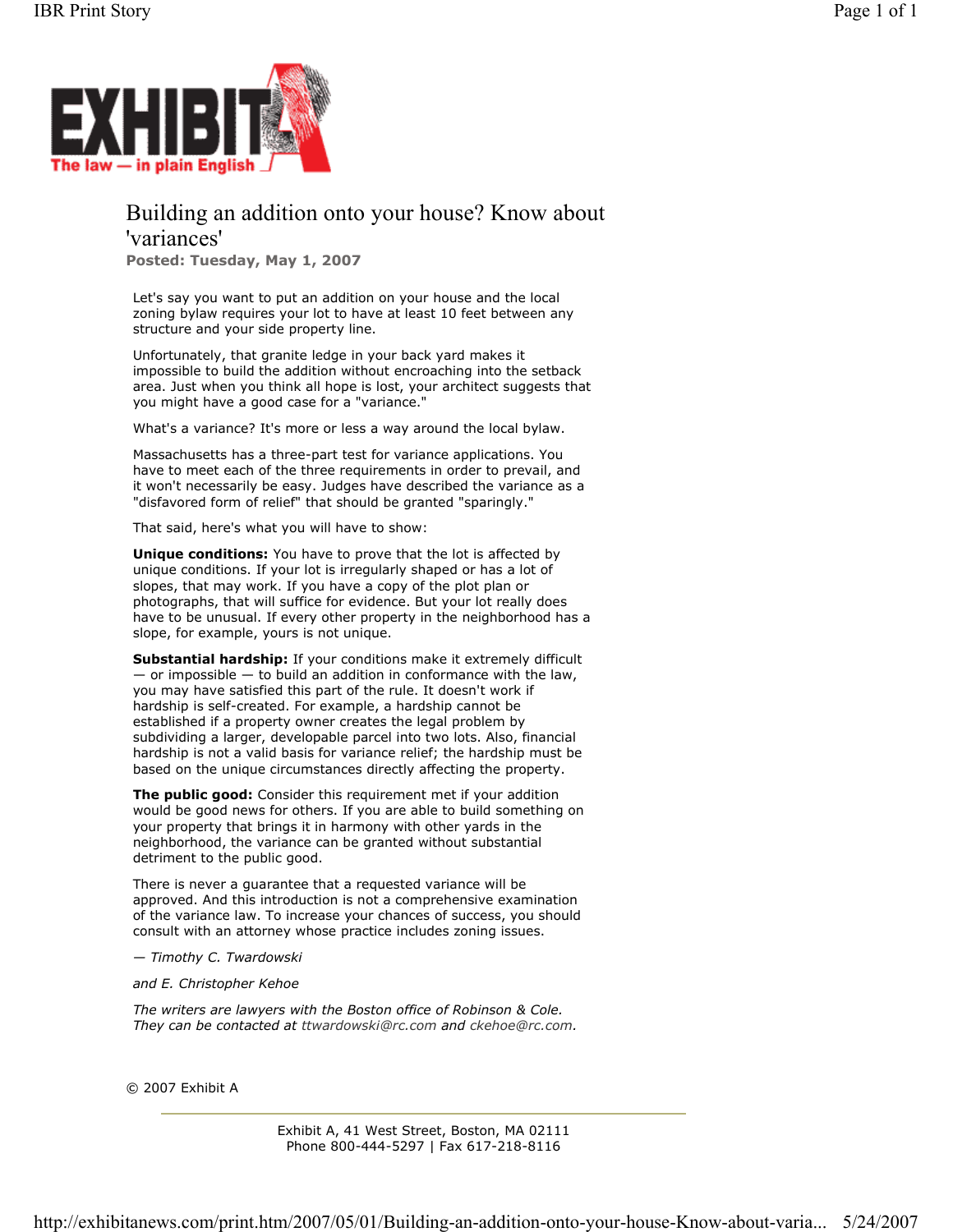

# Building an addition onto your house? Know about 'variances'

**Posted: Tuesday, May 1, 2007**

Let's say you want to put an addition on your house and the local zoning bylaw requires your lot to have at least 10 feet between any structure and your side property line.

Unfortunately, that granite ledge in your back yard makes it impossible to build the addition without encroaching into the setback area. Just when you think all hope is lost, your architect suggests that you might have a good case for a "variance."

What's a variance? It's more or less a way around the local bylaw.

Massachusetts has a three-part test for variance applications. You have to meet each of the three requirements in order to prevail, and it won't necessarily be easy. Judges have described the variance as a "disfavored form of relief" that should be granted "sparingly."

That said, here's what you will have to show:

**Unique conditions:** You have to prove that the lot is affected by unique conditions. If your lot is irregularly shaped or has a lot of slopes, that may work. If you have a copy of the plot plan or photographs, that will suffice for evidence. But your lot really does have to be unusual. If every other property in the neighborhood has a slope, for example, yours is not unique.

**Substantial hardship:** If your conditions make it extremely difficult  $-$  or impossible  $-$  to build an addition in conformance with the law, you may have satisfied this part of the rule. It doesn't work if hardship is self-created. For example, a hardship cannot be established if a property owner creates the legal problem by subdividing a larger, developable parcel into two lots. Also, financial hardship is not a valid basis for variance relief; the hardship must be based on the unique circumstances directly affecting the property.

**The public good:** Consider this requirement met if your addition would be good news for others. If you are able to build something on your property that brings it in harmony with other yards in the neighborhood, the variance can be granted without substantial detriment to the public good.

There is never a guarantee that a requested variance will be approved. And this introduction is not a comprehensive examination of the variance law. To increase your chances of success, you should consult with an attorney whose practice includes zoning issues.

*— Timothy C. Twardowski* 

*and E. Christopher Kehoe*

*The writers are lawyers with the Boston office of Robinson & Cole. They can be contacted at ttwardowski@rc.com and ckehoe@rc.com.*

© 2007 Exhibit A

Exhibit A, 41 West Street, Boston, MA 02111 Phone 800-444-5297 | Fax 617-218-8116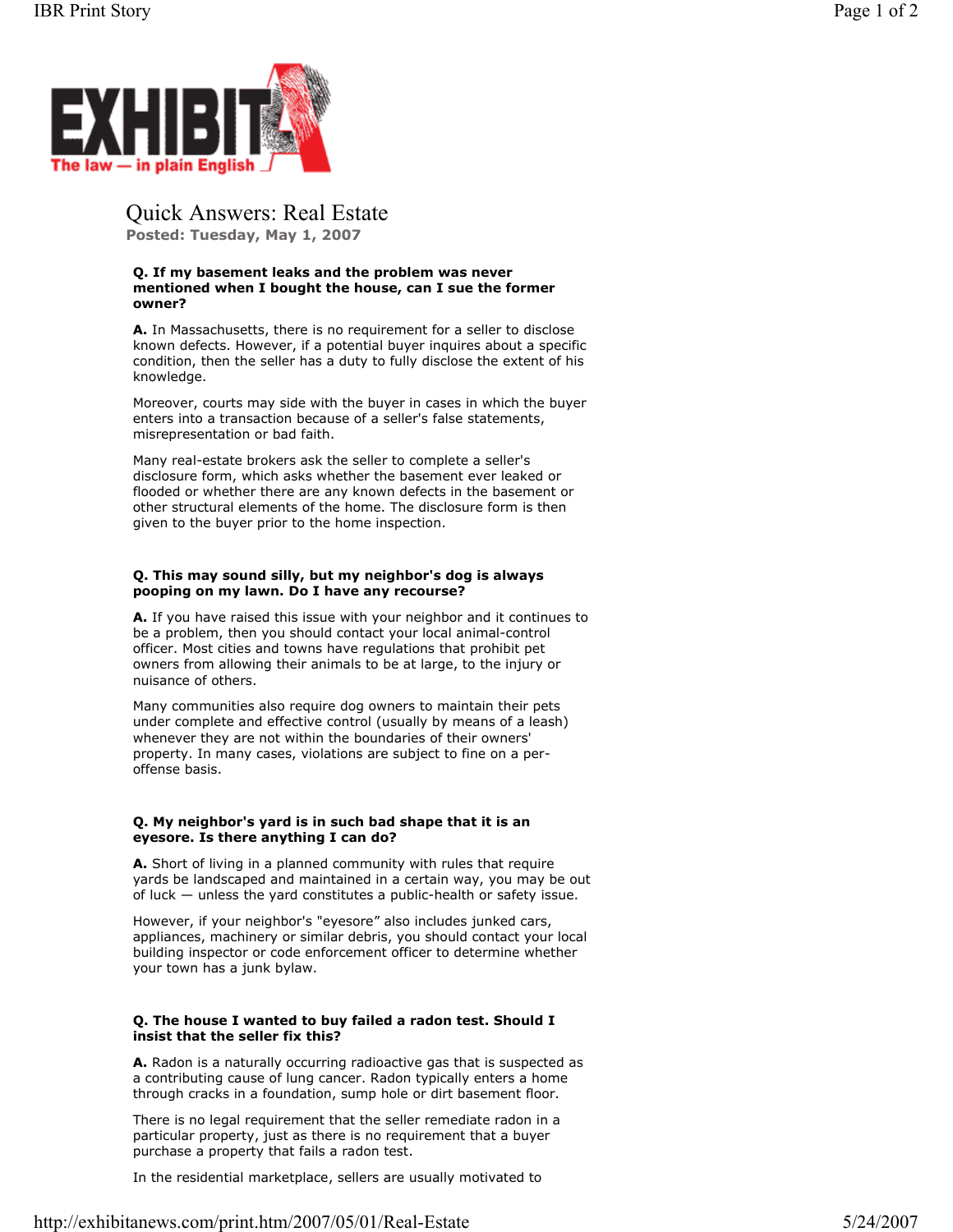

Quick Answers: Real Estate

**Posted: Tuesday, May 1, 2007**

## **Q. If my basement leaks and the problem was never mentioned when I bought the house, can I sue the former owner?**

**A.** In Massachusetts, there is no requirement for a seller to disclose known defects. However, if a potential buyer inquires about a specific condition, then the seller has a duty to fully disclose the extent of his knowledge.

Moreover, courts may side with the buyer in cases in which the buyer enters into a transaction because of a seller's false statements, misrepresentation or bad faith.

Many real-estate brokers ask the seller to complete a seller's disclosure form, which asks whether the basement ever leaked or flooded or whether there are any known defects in the basement or other structural elements of the home. The disclosure form is then given to the buyer prior to the home inspection.

## **Q. This may sound silly, but my neighbor's dog is always pooping on my lawn. Do I have any recourse?**

**A.** If you have raised this issue with your neighbor and it continues to be a problem, then you should contact your local animal-control officer. Most cities and towns have regulations that prohibit pet owners from allowing their animals to be at large, to the injury or nuisance of others.

Many communities also require dog owners to maintain their pets under complete and effective control (usually by means of a leash) whenever they are not within the boundaries of their owners' property. In many cases, violations are subject to fine on a peroffense basis.

## **Q. My neighbor's yard is in such bad shape that it is an eyesore. Is there anything I can do?**

**A.** Short of living in a planned community with rules that require yards be landscaped and maintained in a certain way, you may be out of luck — unless the yard constitutes a public-health or safety issue.

However, if your neighbor's "eyesore" also includes junked cars, appliances, machinery or similar debris, you should contact your local building inspector or code enforcement officer to determine whether your town has a junk bylaw.

## **Q. The house I wanted to buy failed a radon test. Should I insist that the seller fix this?**

**A.** Radon is a naturally occurring radioactive gas that is suspected as a contributing cause of lung cancer. Radon typically enters a home through cracks in a foundation, sump hole or dirt basement floor.

There is no legal requirement that the seller remediate radon in a particular property, just as there is no requirement that a buyer purchase a property that fails a radon test.

In the residential marketplace, sellers are usually motivated to